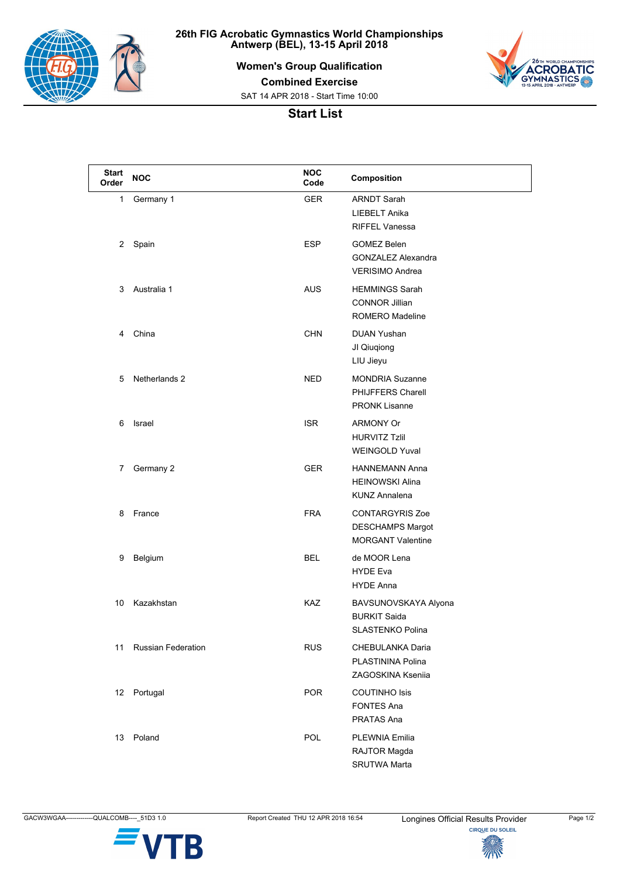

**26th FIG Acrobatic Gymnastics World Championships Antwerp (BEL), 13-15 April 2018**

**Women's Group Qualification**



**Combined Exercise**

SAT 14 APR 2018 - Start Time 10:00

## **Start List**

| <b>Start</b><br>Order | <b>NOC</b>                | <b>NOC</b><br>Code | Composition                                                                |
|-----------------------|---------------------------|--------------------|----------------------------------------------------------------------------|
| 1                     | Germany 1                 | <b>GER</b>         | <b>ARNDT Sarah</b><br><b>LIEBELT Anika</b><br><b>RIFFEL Vanessa</b>        |
| 2                     | Spain                     | <b>ESP</b>         | <b>GOMEZ Belen</b><br><b>GONZALEZ Alexandra</b><br><b>VERISIMO Andrea</b>  |
| 3                     | Australia 1               | <b>AUS</b>         | <b>HEMMINGS Sarah</b><br><b>CONNOR Jillian</b><br><b>ROMERO Madeline</b>   |
| 4                     | China                     | <b>CHN</b>         | DUAN Yushan<br>JI Qiuqiong<br>LIU Jieyu                                    |
| 5                     | Netherlands 2             | <b>NED</b>         | <b>MONDRIA Suzanne</b><br><b>PHIJFFERS Charell</b><br><b>PRONK Lisanne</b> |
| 6                     | Israel                    | <b>ISR</b>         | <b>ARMONY Or</b><br><b>HURVITZ Tzlil</b><br><b>WEINGOLD Yuval</b>          |
| 7                     | Germany 2                 | <b>GER</b>         | <b>HANNEMANN Anna</b><br><b>HEINOWSKI Alina</b><br><b>KUNZ Annalena</b>    |
| 8                     | France                    | <b>FRA</b>         | <b>CONTARGYRIS Zoe</b><br>DESCHAMPS Margot<br><b>MORGANT Valentine</b>     |
| 9                     | Belgium                   | <b>BEL</b>         | de MOOR Lena<br><b>HYDE Eva</b><br><b>HYDE Anna</b>                        |
| 10                    | Kazakhstan                | KAZ                | BAVSUNOVSKAYA Alyona<br><b>BURKIT Saida</b><br>SLASTENKO Polina            |
| 11                    | <b>Russian Federation</b> | <b>RUS</b>         | CHEBULANKA Daria<br>PLASTININA Polina<br>ZAGOSKINA Ksenija                 |
| 12                    | Portugal                  | <b>POR</b>         | <b>COUTINHO Isis</b><br><b>FONTES Ana</b><br>PRATAS Ana                    |
| 13                    | Poland                    | POL                | <b>PLEWNIA Emilia</b><br>RAJTOR Magda<br><b>SRUTWA Marta</b>               |